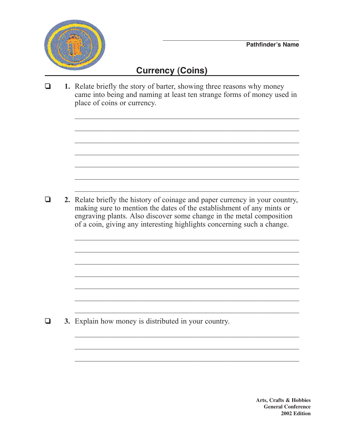

## **Currency (Coins)**

❏ **1.** Relate briefly the story of barter, showing three reasons why money came into being and naming at least ten strange forms of money used in place of coins or currency.

 $\mathcal{L}_\text{max}$  , and the contract of the contract of the contract of the contract of the contract of the contract of the contract of the contract of the contract of the contract of the contract of the contract of the contr

 $\mathcal{L}_\text{max}$  , and the contract of the contract of the contract of the contract of the contract of the contract of the contract of the contract of the contract of the contract of the contract of the contract of the contr

 $\mathcal{L}_\text{max}$  and the contract of the contract of the contract of the contract of the contract of the contract of

 $\mathcal{L}_\text{max}$  , and the contract of the contract of the contract of the contract of the contract of the contract of the contract of the contract of the contract of the contract of the contract of the contract of the contr

 $\mathcal{L}_\text{max}$  and the contract of the contract of the contract of the contract of the contract of the contract of

 $\mathcal{L}_\text{max}$  , and the contract of the contract of the contract of the contract of the contract of the contract of the contract of the contract of the contract of the contract of the contract of the contract of the contr

 $\mathcal{L}_\text{max}$  , and the contract of the contract of the contract of the contract of the contract of the contract of the contract of the contract of the contract of the contract of the contract of the contract of the contr

 $\mathcal{L}_\text{max}$  and the contract of the contract of the contract of the contract of the contract of the contract of

 $\mathcal{L}_\text{max}$  , and the contract of the contract of the contract of the contract of the contract of the contract of the contract of the contract of the contract of the contract of the contract of the contract of the contr

❏ **2.** Relate briefly the history of coinage and paper currency in your country, making sure to mention the dates of the establishment of any mints or engraving plants. Also discover some change in the metal composition of a coin, giving any interesting highlights concerning such a change.

❏ **3.** Explain how money is distributed in your country.

**Arts, Crafts & Hobbies General Conference 2002 Edition**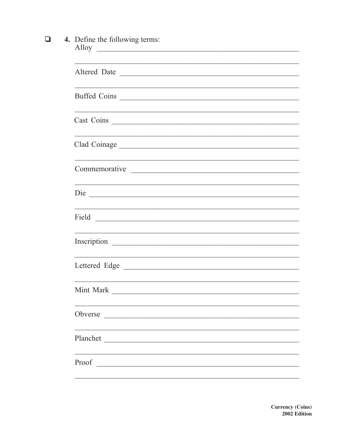## 4. Define the following terms:<br>Alloy  $\Box$

| Altered Date                                                                                                                       |  |  |
|------------------------------------------------------------------------------------------------------------------------------------|--|--|
| Buffed Coins                                                                                                                       |  |  |
| Cast Coins                                                                                                                         |  |  |
|                                                                                                                                    |  |  |
| Commemorative                                                                                                                      |  |  |
|                                                                                                                                    |  |  |
|                                                                                                                                    |  |  |
|                                                                                                                                    |  |  |
|                                                                                                                                    |  |  |
|                                                                                                                                    |  |  |
| Obverse<br><u> 2001 - Jan Barbarat, manala</u> tar antikel antikel antikel antikel antikel antikel antikel antikel antikel antikel |  |  |
| Planchet                                                                                                                           |  |  |
| Proof                                                                                                                              |  |  |
|                                                                                                                                    |  |  |

**Currency (Coins)** 2002 Edition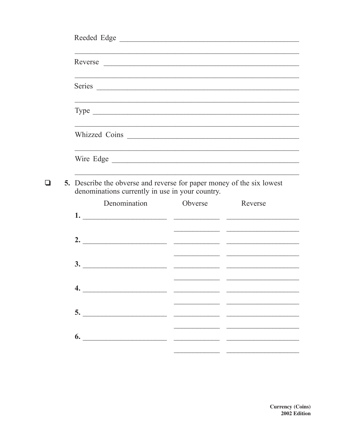|  |  | Reeded Edge                                                                                                                     |  |         |  |  |  |  |
|--|--|---------------------------------------------------------------------------------------------------------------------------------|--|---------|--|--|--|--|
|  |  | Reverse                                                                                                                         |  |         |  |  |  |  |
|  |  | Series                                                                                                                          |  |         |  |  |  |  |
|  |  | Type $\overline{\phantom{a}}$                                                                                                   |  |         |  |  |  |  |
|  |  |                                                                                                                                 |  |         |  |  |  |  |
|  |  |                                                                                                                                 |  |         |  |  |  |  |
|  |  | <b>5.</b> Describe the obverse and reverse for paper money of the six lowest<br>denominations currently in use in your country. |  |         |  |  |  |  |
|  |  | Denomination Obverse                                                                                                            |  | Reverse |  |  |  |  |
|  |  |                                                                                                                                 |  |         |  |  |  |  |
|  |  |                                                                                                                                 |  |         |  |  |  |  |
|  |  | $\overline{\mathbf{3.}}$                                                                                                        |  |         |  |  |  |  |
|  |  | $\overline{\phantom{a}4.}$                                                                                                      |  |         |  |  |  |  |
|  |  |                                                                                                                                 |  |         |  |  |  |  |
|  |  | $\overline{\phantom{a}}$ 6.                                                                                                     |  |         |  |  |  |  |
|  |  |                                                                                                                                 |  |         |  |  |  |  |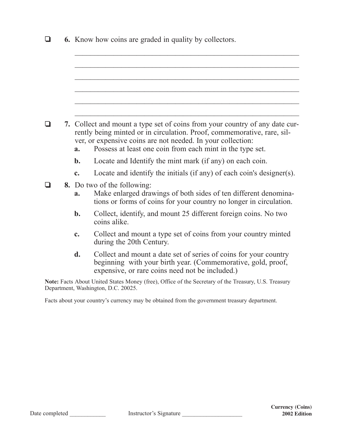| ⊔ |                                                                                                                                                                                                                                                                                          |             | <b>6.</b> Know how coins are graded in quality by collectors.                                                                                                                       |  |
|---|------------------------------------------------------------------------------------------------------------------------------------------------------------------------------------------------------------------------------------------------------------------------------------------|-------------|-------------------------------------------------------------------------------------------------------------------------------------------------------------------------------------|--|
|   |                                                                                                                                                                                                                                                                                          |             |                                                                                                                                                                                     |  |
|   | 7. Collect and mount a type set of coins from your country of any date cur-<br>rently being minted or in circulation. Proof, commemorative, rare, sil-<br>ver, or expensive coins are not needed. In your collection:<br>Possess at least one coin from each mint in the type set.<br>a. |             |                                                                                                                                                                                     |  |
|   |                                                                                                                                                                                                                                                                                          | $b$ .       | Locate and Identify the mint mark (if any) on each coin.                                                                                                                            |  |
|   |                                                                                                                                                                                                                                                                                          | $c_{\cdot}$ | Locate and identify the initials (if any) of each coin's designer(s).                                                                                                               |  |
|   |                                                                                                                                                                                                                                                                                          | a.          | <b>8.</b> Do two of the following:<br>Make enlarged drawings of both sides of ten different denomina-<br>tions or forms of coins for your country no longer in circulation.         |  |
|   |                                                                                                                                                                                                                                                                                          | $b$ .       | Collect, identify, and mount 25 different foreign coins. No two<br>coins alike.                                                                                                     |  |
|   |                                                                                                                                                                                                                                                                                          | c.          | Collect and mount a type set of coins from your country minted<br>during the 20th Century.                                                                                          |  |
|   |                                                                                                                                                                                                                                                                                          | d.          | Collect and mount a date set of series of coins for your country<br>beginning with your birth year. (Commemorative, gold, proof,<br>expensive, or rare coins need not be included.) |  |
|   |                                                                                                                                                                                                                                                                                          |             | Note: Facts About United States Money (free), Office of the Secretary of the Treasury, U.S. Treasury<br>Department, Washington, D.C. 20025.                                         |  |
|   |                                                                                                                                                                                                                                                                                          |             | Facts about your country's currency may be obtained from the government treasury department.                                                                                        |  |